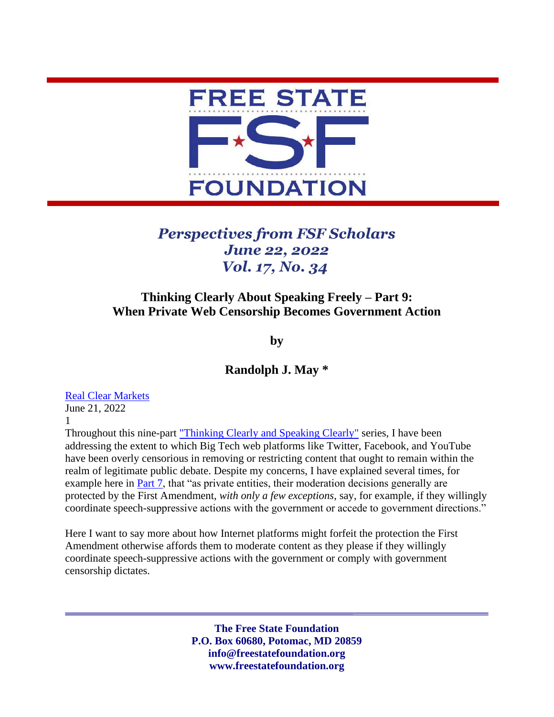

## *Perspectives from FSF Scholars June 22, 2022 Vol. 17, No. 34*

## **Thinking Clearly About Speaking Freely – Part 9: When Private Web Censorship Becomes Government Action**

**by**

**Randolph J. May \***

## [Real Clear Markets](https://www.realclearmarkets.com/articles/2022/06/21/when_private_web_censorship_becomes_government_action_838268.html)

June 21, 2022 1

Throughout this nine-part ["Thinking Clearly and Speaking Clearly"](https://freestatefoundation.org/thinking-clearly-about-speaking-freely-2/) series, I have been addressing the extent to which Big Tech web platforms like Twitter, Facebook, and YouTube have been overly censorious in removing or restricting content that ought to remain within the realm of legitimate public debate. Despite my concerns, I have explained several times, for example here in [Part 7,](https://freestatefoundation.org/wp-content/uploads/2022/06/Thinking-Clearly-About-Speaking-Freely-%E2%80%93-Part-7-Misusing-Misinformation-050222.pdf) that "as private entities, their moderation decisions generally are protected by the First Amendment, *with only a few exceptions*, say, for example, if they willingly coordinate speech-suppressive actions with the government or accede to government directions."

Here I want to say more about how Internet platforms might forfeit the protection the First Amendment otherwise affords them to moderate content as they please if they willingly coordinate speech-suppressive actions with the government or comply with government censorship dictates.

> **The Free State Foundation P.O. Box 60680, Potomac, MD 20859 info@freestatefoundation.org www.freestatefoundation.org**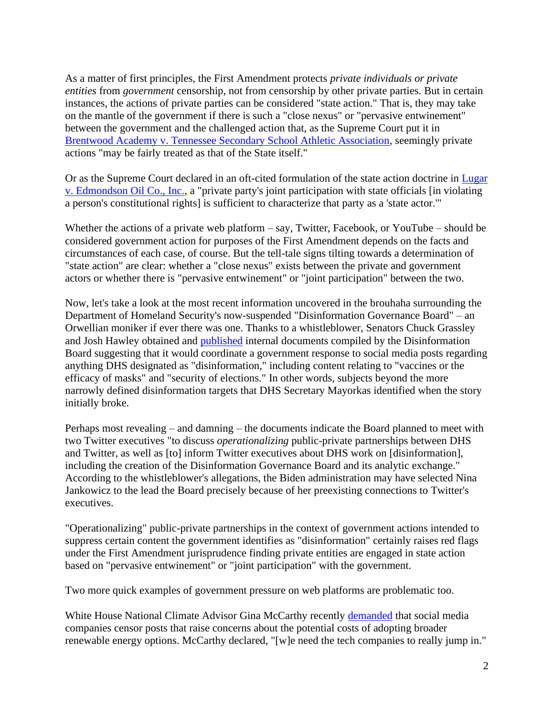As a matter of first principles, the First Amendment protects *private individuals or private entities* from *government* censorship, not from censorship by other private parties. But in certain instances, the actions of private parties can be considered "state action." That is, they may take on the mantle of the government if there is such a "close nexus" or "pervasive entwinement" between the government and the challenged action that, as the Supreme Court put it in [Brentwood Academy v. Tennessee Secondary School Athletic Association,](https://www.law.cornell.edu/supct/pdf/99-901P.ZO) seemingly private actions "may be fairly treated as that of the State itself."

Or as the Supreme Court declared in an oft-cited formulation of the state action doctrine in [Lugar](https://supreme.justia.com/cases/federal/us/457/922/)  [v. Edmondson Oil Co., Inc.,](https://supreme.justia.com/cases/federal/us/457/922/) a "private party's joint participation with state officials [in violating a person's constitutional rights] is sufficient to characterize that party as a 'state actor.'"

Whether the actions of a private web platform – say, Twitter, Facebook, or YouTube – should be considered government action for purposes of the First Amendment depends on the facts and circumstances of each case, of course. But the tell-tale signs tilting towards a determination of "state action" are clear: whether a "close nexus" exists between the private and government actors or whether there is "pervasive entwinement" or "joint participation" between the two.

Now, let's take a look at the most recent information uncovered in the brouhaha surrounding the Department of Homeland Security's now-suspended "Disinformation Governance Board" – an Orwellian moniker if ever there was one. Thanks to a whistleblower, Senators Chuck Grassley and Josh Hawley obtained and [published](https://www.grassley.senate.gov/imo/media/doc/grassley_hawley_to_deptofhomelandsecuritydisinformationgovernanceboard.pdf) internal documents compiled by the Disinformation Board suggesting that it would coordinate a government response to social media posts regarding anything DHS designated as "disinformation," including content relating to "vaccines or the efficacy of masks" and "security of elections." In other words, subjects beyond the more narrowly defined disinformation targets that DHS Secretary Mayorkas identified when the story initially broke.

Perhaps most revealing – and damning – the documents indicate the Board planned to meet with two Twitter executives "to discuss *operationalizing* public-private partnerships between DHS and Twitter, as well as [to] inform Twitter executives about DHS work on [disinformation], including the creation of the Disinformation Governance Board and its analytic exchange." According to the whistleblower's allegations, the Biden administration may have selected Nina Jankowicz to the lead the Board precisely because of her preexisting connections to Twitter's executives.

"Operationalizing" public-private partnerships in the context of government actions intended to suppress certain content the government identifies as "disinformation" certainly raises red flags under the First Amendment jurisprudence finding private entities are engaged in state action based on "pervasive entwinement" or "joint participation" with the government.

Two more quick examples of government pressure on web platforms are problematic too.

White House National Climate Advisor Gina McCarthy recently [demanded](https://www.wsj.com/articles/climate-censorship-phase-two-gina-mccarthy-social-media-biden-white-house-11655156191) that social media companies censor posts that raise concerns about the potential costs of adopting broader renewable energy options. McCarthy declared, "[w]e need the tech companies to really jump in."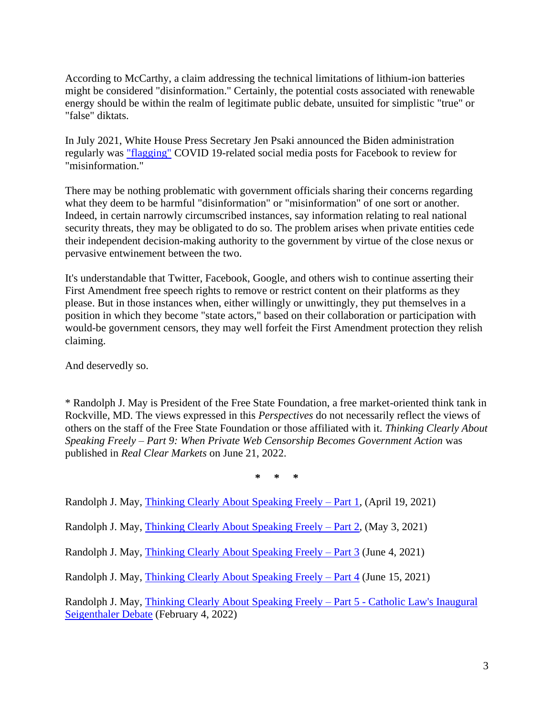According to McCarthy, a claim addressing the technical limitations of lithium-ion batteries might be considered "disinformation." Certainly, the potential costs associated with renewable energy should be within the realm of legitimate public debate, unsuited for simplistic "true" or "false" diktats.

In July 2021, White House Press Secretary Jen Psaki announced the Biden administration regularly was ["flagging"](https://nypost.com/2021/07/15/white-house-flagging-posts-for-facebook-to-censor-due-to-covid-19-misinformation/) COVID 19-related social media posts for Facebook to review for "misinformation."

There may be nothing problematic with government officials sharing their concerns regarding what they deem to be harmful "disinformation" or "misinformation" of one sort or another. Indeed, in certain narrowly circumscribed instances, say information relating to real national security threats, they may be obligated to do so. The problem arises when private entities cede their independent decision-making authority to the government by virtue of the close nexus or pervasive entwinement between the two.

It's understandable that Twitter, Facebook, Google, and others wish to continue asserting their First Amendment free speech rights to remove or restrict content on their platforms as they please. But in those instances when, either willingly or unwittingly, they put themselves in a position in which they become "state actors," based on their collaboration or participation with would-be government censors, they may well forfeit the First Amendment protection they relish claiming.

And deservedly so.

\* Randolph J. May is President of the Free State Foundation, a free market-oriented think tank in Rockville, MD. The views expressed in this *Perspectives* do not necessarily reflect the views of others on the staff of the Free State Foundation or those affiliated with it. *Thinking Clearly About Speaking Freely – Part 9: When Private Web Censorship Becomes Government Action* was published in *Real Clear Markets* on June 21, 2022.

**\* \* \***

Randolph J. May, [Thinking Clearly About Speaking Freely](https://freestatefoundation.org/wp-content/uploads/2021/04/Thinking-Clearly-About-Speaking-Freely-–-Part-1-041921.pdf) – Part 1, (April 19, 2021)

Randolph J. May, [Thinking Clearly About Speaking Freely](https://freestatefoundation.org/wp-content/uploads/2021/05/Thinking-Clearly-About-Speaking-Freely-–-Part-2-050321.pdf) – Part 2, (May 3, 2021)

Randolph J. May, [Thinking Clearly About Speaking Freely –](https://freestatefoundation.org/wp-content/uploads/2021/06/Thinking-Clearly-About-Speaking-Freely-–-Part-3-060421.pdf) Part 3 (June 4, 2021)

Randolph J. May, [Thinking Clearly About Speaking Freely –](https://freestatefoundation.org/wp-content/uploads/2021/06/Thinking-Clearly-About-Speaking-Freely-%E2%80%93-Part-4-061521.pdf) Part 4 (June 15, 2021)

Randolph J. May, [Thinking Clearly About Speaking Freely –](https://freestatefoundation.org/wp-content/uploads/2022/02/Thinking-Clearly-About-Speaking-Freely.Part-5-R.pdf) Part 5 - Catholic Law's Inaugural [Seigenthaler Debate](https://freestatefoundation.org/wp-content/uploads/2022/02/Thinking-Clearly-About-Speaking-Freely.Part-5-R.pdf) (February 4, 2022)